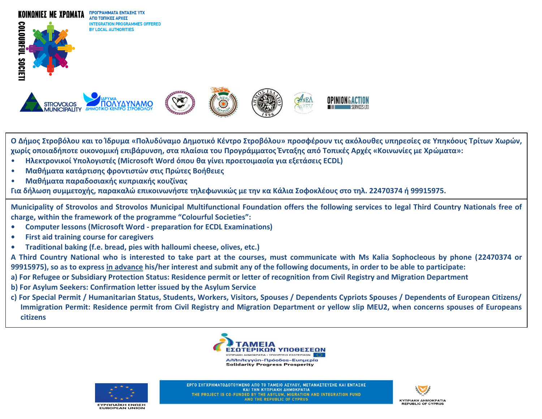

 **Ο Δήμος Στροβόλου και το Ίδρυμα «Πολυδύναμο Δημοτικό Κέντρο Στροβόλου» προσφέρουν τις ακόλουθες υπηρεσίες σε Υπηκόους Τρίτων Χωρών, χωρίς οποιαδήποτε οικονομική επιβάρυνση, στα πλαίσια του Προγράμματος Ένταξης από Τοπικές Αρχές «Κοινωνίες με Χρώματα»:**

- **Ηλεκτρονικοί Υπολογιστές (Microsoft Word όπου θα γίνει προετοιμασία για εξετάσεις ECDL)**
- **Μαθήματα κατάρτισης φροντιστών στις Πρώτες Βοήθειες**
- **Μαθήματα παραδοσιακής κυπριακής κουζίνας**

**Για δήλωση συμμετοχής, παρακαλώ επικοινωνήστε τηλεφωνικώς με την κα Κάλια Σοφοκλέους στο τηλ. 22470374 ή 99915975.**

**Municipality of Strovolos and Strovolos Municipal Multifunctional Foundation offers the following services to legal Third Country Nationals free of charge, within the framework of the programme "Colourful Societies":** • ابر<br>ا

- **Computer lessons (Microsoft Word - preparation for ECDL Examinations)**
- **First aid training course for caregivers**
- **Traditional baking (f.e. bread, pies with halloumi cheese, olives, etc.)**

**A Third Country National who is interested to take part at the courses, must communicate with Ms Kalia Sophocleous by phone (22470374 or 99915975), so as to express in advance his/her interest and submit any of the following documents, in order to be able to participate:**

**a) For Refugee or Subsidiary Protection Status: Residence permit or letter of recognition from Civil Registry and Migration Department** 

- **b) For Asylum Seekers: Confirmation letter issued by the Asylum Service**
- **c) For Special Permit / Humanitarian Status, Students, Workers, Visitors, Spouses / Dependents Cypriots Spouses / Dependents of European Citizens/ Immigration Permit: Residence permit from Civil Registry and Migration Department or yellow slip MEU2, when concerns spouses of Europeans citizens**





ΕΡΓΟ ΣΥΓΧΡΗΜΑΤΟΔΟΤΟΥΜΕΝΟ ΑΠΟ ΤΟ ΤΑΜΕΙΟ ΑΣΥΛΟΥ, ΜΕΤΑΝΑΣΤΕΥΣΗΣ ΚΑΙ ΕΝΤΑΞΗΣ **KAI THN KYNPIAKH AHMOKPATIA** THE PROJECT IS CO-FUNDED BY THE ASYLUM, MIGRATION AND INTEGRATION FUND AND THE REPUBLIC OF CYPRUS